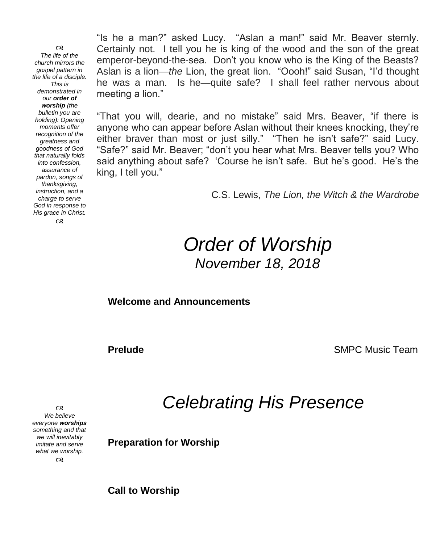೧೪ *The life of the church mirrors the gospel pattern in the life of a disciple. This is demonstrated in our order of worship (the bulletin you are holding): Opening moments offer recognition of the greatness and goodness of God that naturally folds into confession, assurance of pardon, songs of thanksgiving, instruction, and a charge to serve God in response to His grace in Christ.*  $\infty$ 

"Is he a man?" asked Lucy. "Aslan a man!" said Mr. Beaver sternly. Certainly not. I tell you he is king of the wood and the son of the great emperor-beyond-the-sea. Don't you know who is the King of the Beasts? Aslan is a lion—*the* Lion, the great lion. "Oooh!" said Susan, "I'd thought he was a man. Is he—quite safe? I shall feel rather nervous about meeting a lion."

"That you will, dearie, and no mistake" said Mrs. Beaver, "if there is anyone who can appear before Aslan without their knees knocking, they're either braver than most or just silly." "Then he isn't safe?" said Lucy. "Safe?" said Mr. Beaver; "don't you hear what Mrs. Beaver tells you? Who said anything about safe? 'Course he isn't safe. But he's good. He's the king, I tell you."

C.S. Lewis, *The Lion, the Witch & the Wardrobe*

## *Order of Worship November 18, 2018*

**Welcome and Announcements** 

**Prelude SMPC Music Team** 

*Celebrating His Presence*

**Preparation for Worship**

*We believe everyone worships something and that we will inevitably imitate and serve what we worship.*  $\infty$ 

෬

**Call to Worship**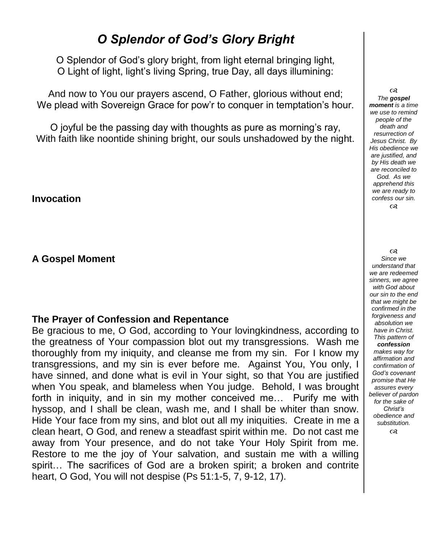## *O Splendor of God's Glory Bright*

O Splendor of God's glory bright, from light eternal bringing light, O Light of light, light's living Spring, true Day, all days illumining:

And now to You our prayers ascend, O Father, glorious without end; We plead with Sovereign Grace for pow'r to conquer in temptation's hour.

O joyful be the passing day with thoughts as pure as morning's ray, With faith like noontide shining bright, our souls unshadowed by the night.

**Invocation**

**A Gospel Moment** 

#### **The Prayer of Confession and Repentance**

Be gracious to me, O God, according to Your lovingkindness, according to the greatness of Your compassion blot out my transgressions. Wash me thoroughly from my iniquity, and cleanse me from my sin. For I know my transgressions, and my sin is ever before me. Against You, You only, I have sinned, and done what is evil in Your sight, so that You are justified when You speak, and blameless when You judge. Behold, I was brought forth in iniquity, and in sin my mother conceived me… Purify me with hyssop, and I shall be clean, wash me, and I shall be whiter than snow. Hide Your face from my sins, and blot out all my iniquities. Create in me a clean heart, O God, and renew a steadfast spirit within me. Do not cast me away from Your presence, and do not take Your Holy Spirit from me. Restore to me the joy of Your salvation, and sustain me with a willing spirit… The sacrifices of God are a broken spirit; a broken and contrite heart, O God, You will not despise (Ps 51:1-5, 7, 9-12, 17).

 $\alpha$ *The gospel moment is a time we use to remind people of the death and resurrection of Jesus Christ. By His obedience we are justified, and by His death we are reconciled to God. As we apprehend this we are ready to confess our sin.*  $\infty$ 

 $\infty$ *Since we understand that we are redeemed sinners, we agree with God about our sin to the end that we might be confirmed in the forgiveness and absolution we have in Christ. This pattern of confession makes way for affirmation and confirmation of God's covenant promise that He assures every believer of pardon for the sake of Christ's obedience and substitution.*  $\Omega$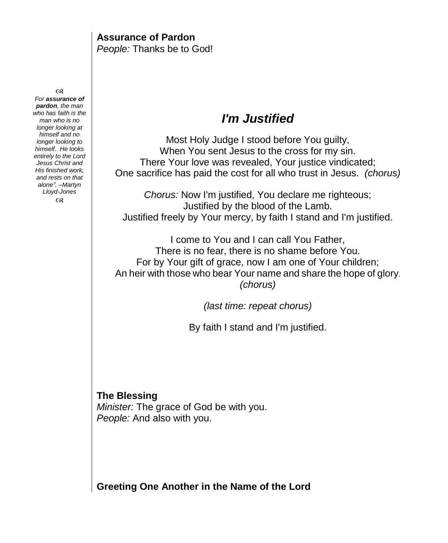#### **Assurance of Pardon** *People:* Thanks be to God!

෬

*For assurance of pardon, the man who has faith is the man who is no longer looking at himself and no longer looking to himself. He looks entirely to the Lord Jesus Christ and His finished work, and rests on that alone". –Martyn Lloyd-Jones*  $\infty$ 

## *I'm Justified*

Most Holy Judge I stood before You guilty, When You sent Jesus to the cross for my sin. There Your love was revealed, Your justice vindicated; One sacrifice has paid the cost for all who trust in Jesus. *(chorus)*

*Chorus:* Now I'm justified, You declare me righteous; Justified by the blood of the Lamb. Justified freely by Your mercy, by faith I stand and I'm justified.

I come to You and I can call You Father, There is no fear, there is no shame before You. For by Your gift of grace, now I am one of Your children; An heir with those who bear Your name and share the hope of glory. *(chorus)* 

*(last time: repeat chorus)*

By faith I stand and I'm justified.

**The Blessing** *Minister:* The grace of God be with you. *People:* And also with you.

**Greeting One Another in the Name of the Lord**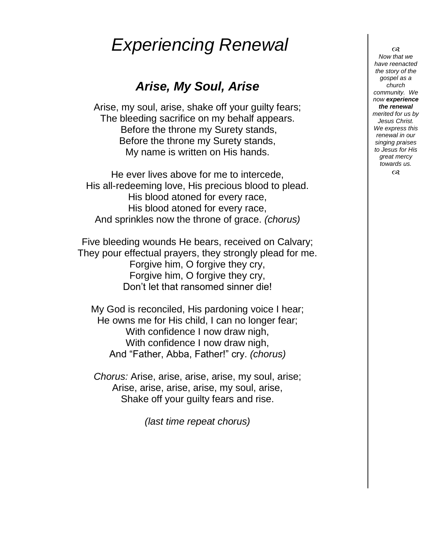# *Experiencing Renewal*

## *Arise, My Soul, Arise*

Arise, my soul, arise, shake off your guilty fears; The bleeding sacrifice on my behalf appears. Before the throne my Surety stands, Before the throne my Surety stands, My name is written on His hands.

He ever lives above for me to intercede, His all-redeeming love, His precious blood to plead. His blood atoned for every race, His blood atoned for every race, And sprinkles now the throne of grace. *(chorus)*

Five bleeding wounds He bears, received on Calvary; They pour effectual prayers, they strongly plead for me. Forgive him, O forgive they cry, Forgive him, O forgive they cry, Don't let that ransomed sinner die!

My God is reconciled, His pardoning voice I hear; He owns me for His child, I can no longer fear; With confidence I now draw nigh, With confidence I now draw nigh. And "Father, Abba, Father!" cry. *(chorus)*

*Chorus:* Arise, arise, arise, arise, my soul, arise; Arise, arise, arise, arise, my soul, arise, Shake off your guilty fears and rise.

*(last time repeat chorus)*

 $\Omega$ *Now that we have reenacted the story of the gospel as a church community. We now experience the renewal merited for us by Jesus Christ. We express this renewal in our singing praises to Jesus for His great mercy towards us.*  $\infty$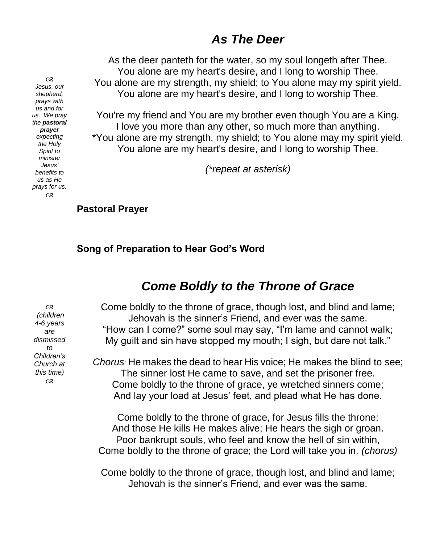## *As The Deer*

As the deer panteth for the water, so my soul longeth after Thee. You alone are my heart's desire, and I long to worship Thee. You alone are my strength, my shield; to You alone may my spirit yield. You alone are my heart's desire, and I long to worship Thee.

You're my friend and You are my brother even though You are a King. I love you more than any other, so much more than anything. \*You alone are my strength, my shield; to You alone may my spirit yield. You alone are my heart's desire, and I long to worship Thee.

*(\*repeat at asterisk)*

#### **Pastoral Prayer**

#### **Song of Preparation to Hear God's Word**

## *Come Boldly to the Throne of Grace*

Come boldly to the throne of grace, though lost, and blind and lame; Jehovah is the sinner's Friend, and ever was the same. "How can I come?" some soul may say, "I'm lame and cannot walk; My guilt and sin have stopped my mouth; I sigh, but dare not talk."

*Chorus:* He makes the dead to hear His voice; He makes the blind to see; The sinner lost He came to save, and set the prisoner free. Come boldly to the throne of grace, ye wretched sinners come; And lay your load at Jesus' feet, and plead what He has done.

Come boldly to the throne of grace, for Jesus fills the throne; And those He kills He makes alive; He hears the sigh or groan. Poor bankrupt souls, who feel and know the hell of sin within, Come boldly to the throne of grace; the Lord will take you in. *(chorus)*

Come boldly to the throne of grace, though lost, and blind and lame; Jehovah is the sinner's Friend, and ever was the same.

 $\infty$ *Jesus, our shepherd, prays with us and for us. We pray the pastoral prayer expecting the Holy Spirit to minister Jesus' benefits to us as He prays for us.*  $\alpha$ 

 $\infty$ *(children 4-6 years are dismissed to Children's Church at this time)*  $\infty$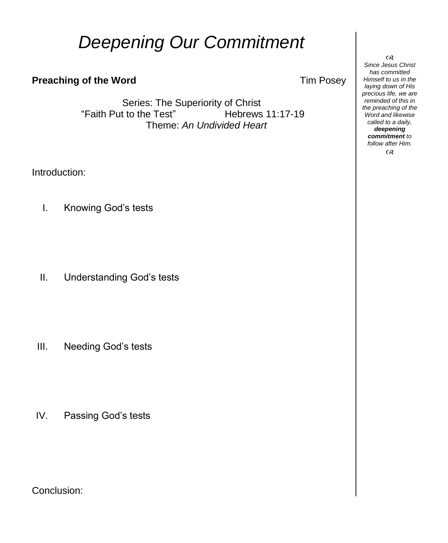# *Deepening Our Commitment*

#### **Preaching of the Word Tim Posey**

Series: The Superiority of Christ "Faith Put to the Test" Hebrews 11:17-19 Theme: *An Undivided Heart*

Introduction:

I. Knowing God's tests

II. Understanding God's tests

III. Needing God's tests

IV. Passing God's tests

Conclusion:

 $\infty$ *Since Jesus Christ has committed Himself to us in the laying down of His precious life, we are reminded of this in the preaching of the Word and likewise called to a daily, deepening commitment to follow after Him.*  $\infty$